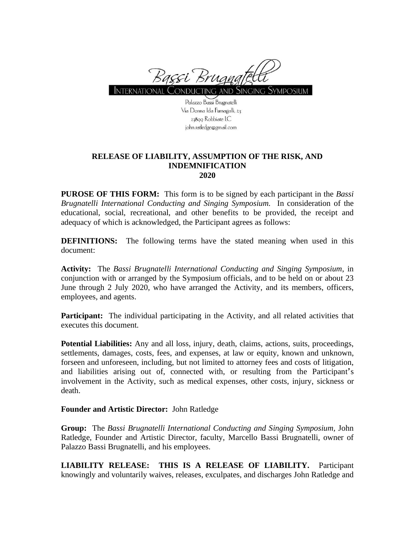

INTERNATIONAL CONDUCTING AND SINGING SYMPOSIUM

Palazzo Bassi Brugnatelli Via Donna Ida Fumagalli, 23 27800 Robbiate LC john.ratledge@gmail.com

## **RELEASE OF LIABILITY, ASSUMPTION OF THE RISK, AND INDEMNIFICATION 2020**

**PUROSE OF THIS FORM:** This form is to be signed by each participant in the *Bassi Brugnatelli International Conducting and Singing Symposium.* In consideration of the educational, social, recreational, and other benefits to be provided, the receipt and adequacy of which is acknowledged, the Participant agrees as follows:

**DEFINITIONS:** The following terms have the stated meaning when used in this document:

**Activity:** The *Bassi Brugnatelli International Conducting and Singing Symposium*, in conjunction with or arranged by the Symposium officials, and to be held on or about 23 June through 2 July 2020, who have arranged the Activity, and its members, officers, employees, and agents.

**Participant:** The individual participating in the Activity, and all related activities that executes this document.

**Potential Liabilities:** Any and all loss, injury, death, claims, actions, suits, proceedings, settlements, damages, costs, fees, and expenses, at law or equity, known and unknown, forseen and unforeseen, including, but not limited to attorney fees and costs of litigation, and liabilities arising out of, connected with, or resulting from the Participant's involvement in the Activity, such as medical expenses, other costs, injury, sickness or death.

## **Founder and Artistic Director:** John Ratledge

**Group:** The *Bassi Brugnatelli International Conducting and Singing Symposium,* John Ratledge, Founder and Artistic Director, faculty, Marcello Bassi Brugnatelli, owner of Palazzo Bassi Brugnatelli, and his employees.

**LIABILITY RELEASE: THIS IS A RELEASE OF LIABILITY.** Participant knowingly and voluntarily waives, releases, exculpates, and discharges John Ratledge and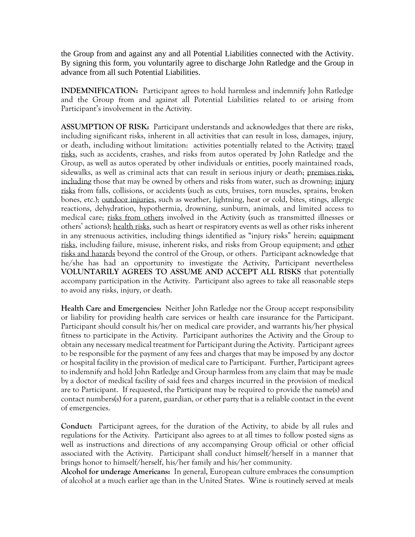the Group from and against any and all Potential Liabilities connected with the Activity. By signing this form, you voluntarily agree to discharge John Ratledge and the Group in advance from all such Potential Liabilities.

**INDEMNIFICATION:** Participant agrees to hold harmless and indemnify John Ratledge and the Group from and against all Potential Liabilities related to or arising from Participant's involvement in the Activity.

**ASSUMPTION OF RISK:** Participant understands and acknowledges that there are risks, including significant risks, inherent in all activities that can result in loss, damages, injury, or death, including without limitation: activities potentially related to the Activity; travel risks, such as accidents, crashes, and risks from autos operated by John Ratledge and the Group, as well as autos operated by other individuals or entities, poorly maintained roads, sidewalks, as well as criminal acts that can result in serious injury or death; premises risks, including those that may be owned by others and risks from water, such as drowning; injury risks from falls, collisions, or accidents (such as cuts, bruises, torn muscles, sprains, broken bones, etc.); outdoor injuries, such as weather, lightning, heat or cold, bites, stings, allergic reactions, dehydration, hypothermia, drowning, sunburn, animals, and limited access to medical care; risks from others involved in the Activity (such as transmitted illnesses or others' actions); health risks, such as heart or respiratory events as well as other risks inherent in any strenuous activities, including things identified as "injury risks" herein; equipment risks, including failure, misuse, inherent risks, and risks from Group equipment; and other risks and hazards beyond the control of the Group, or others. Participant acknowledge that he/she has had an opportunity to investigate the Activity, Participant nevertheless **VOLUNTARILY AGREES TO ASSUME AND ACCEPT ALL RISKS** that potentially accompany participation in the Activity. Participant also agrees to take all reasonable steps to avoid any risks, injury, or death.

**Health Care and Emergencies:** Neither John Ratledge nor the Group accept responsibility or liability for providing health care services or health care insurance for the Participant. Participant should consult his/her on medical care provider, and warrants his/her physical fitness to participate in the Activity. Participant authorizes the Activity and the Group to obtain any necessary medical treatment for Participant during the Activity. Participant agrees to be responsible for the payment of any fees and charges that may be imposed by any doctor or hospital facility in the provision of medical care to Participant. Further, Participant agrees to indemnify and hold John Ratledge and Group harmless from any claim that may be made by a doctor of medical facility of said fees and charges incurred in the provision of medical are to Participant. If requested, the Participant may be required to provide the name(s) and contact numbers(s) for a parent, guardian, or other party that is a reliable contact in the event of emergencies.

**Conduct:** Participant agrees, for the duration of the Activity, to abide by all rules and regulations for the Activity. Participant also agrees to at all times to follow posted signs as well as instructions and directions of any accompanying Group official or other official associated with the Activity. Participant shall conduct himself/herself in a manner that brings honor to himself/herself, his/her family and his/her community.

**Alcohol for underage Americans:** In general, European culture embraces the consumption of alcohol at a much earlier age than in the United States. Wine is routinely served at meals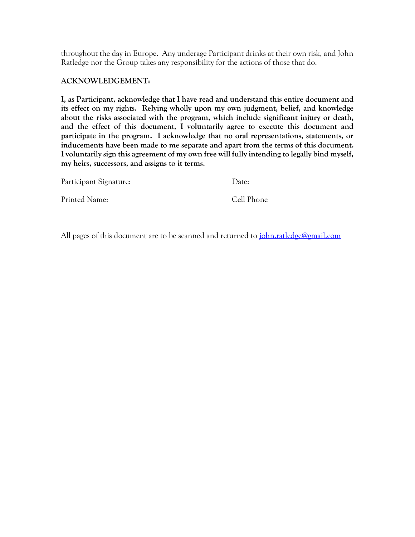throughout the day in Europe. Any underage Participant drinks at their own risk, and John Ratledge nor the Group takes any responsibility for the actions of those that do.

## **ACKNOWLEDGEMENT:**

**I, as Participant, acknowledge that I have read and understand this entire document and its effect on my rights. Relying wholly upon my own judgment, belief, and knowledge about the risks associated with the program, which include significant injury or death, and the effect of this document, I voluntarily agree to execute this document and participate in the program. I acknowledge that no oral representations, statements, or inducements have been made to me separate and apart from the terms of this document. I voluntarily sign this agreement of my own free will fully intending to legally bind myself, my heirs, successors, and assigns to it terms.**

| Participant Signature: | $1$ )ate:  |
|------------------------|------------|
| Printed Name:          | Cell Phone |

All pages of this document are to be scanned and returned to [john.ratledge@gmail.com](mailto:john.ratledge@gmail.com)